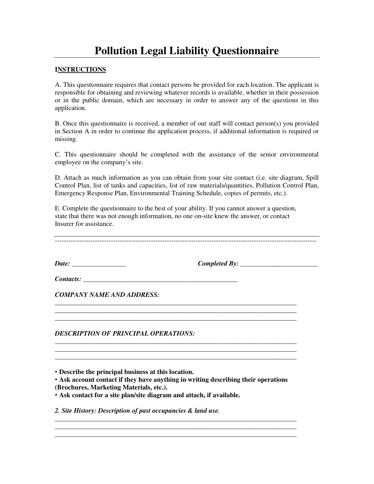# **Pollution Legal Liability Questionnaire**

## **INSTRUCTIONS**

A. This questionnaire requires that contact persons be provided for each location. The applicant is responsible for obtaining and reviewing whatever records is available, whether in their possession or in the public domain, which are necessary in order to answer any of the questions in this application.

B. Once this questionnaire is received, a member of our staff will contact person(s) you provided in Section A in order to continue the application process, if additional information is required or missing.

C. This questionnaire should be completed with the assistance of the senior environmental employee on the company's site.

D. Attach as much information as you can obtain from your site contact (i.e. site diagram, Spill Control Plan, list of tanks and capacities, list of raw materials/quantities, Pollution Control Plan, Emergency Response Plan, Environmental Training Schedule, copies of permits, etc.).

E. Complete the questionnaire to the best of your ability. If you cannot answer a question, state that there was not enough information, no one on-site knew the answer, or contact Insurer for assistance.

\_\_\_\_\_\_\_\_\_\_\_\_\_\_\_\_\_\_\_\_\_\_\_\_\_\_\_\_\_\_\_\_\_\_\_\_\_\_\_\_\_\_\_\_\_\_\_\_\_\_\_\_\_\_\_\_\_\_\_\_\_\_\_\_\_\_\_\_\_\_\_\_ \_\_\_\_\_\_\_\_\_\_\_\_\_\_\_\_\_\_\_\_\_\_\_\_\_\_\_\_\_\_\_\_\_\_\_\_\_\_\_\_\_\_\_\_\_\_\_\_\_\_\_\_\_\_\_\_\_\_\_\_\_\_\_\_\_\_\_\_\_\_\_\_ \_\_\_\_\_\_\_\_\_\_\_\_\_\_\_\_\_\_\_\_\_\_\_\_\_\_\_\_\_\_\_\_\_\_\_\_\_\_\_\_\_\_\_\_\_\_\_\_\_\_\_\_\_\_\_\_\_\_\_\_\_\_\_\_\_\_\_\_\_\_\_\_

\_\_\_\_\_\_\_\_\_\_\_\_\_\_\_\_\_\_\_\_\_\_\_\_\_\_\_\_\_\_\_\_\_\_\_\_\_\_\_\_\_\_\_\_\_\_\_\_\_\_\_\_\_\_\_\_\_\_\_\_\_\_\_\_\_\_\_\_\_\_\_\_

\_\_\_\_\_\_\_\_\_\_\_\_\_\_\_\_\_\_\_\_\_\_\_\_\_\_\_\_\_\_\_\_\_\_\_\_\_\_\_\_\_\_\_\_\_\_\_\_\_\_\_\_\_\_\_\_\_\_\_\_\_\_\_\_\_\_\_\_\_\_\_\_

\_\_\_\_\_\_\_\_\_\_\_\_\_\_\_\_\_\_\_\_\_\_\_\_\_\_\_\_\_\_\_\_\_\_\_\_\_\_\_\_\_\_\_\_\_\_\_\_\_\_\_\_\_\_\_\_\_\_\_\_\_\_\_\_\_\_\_\_\_\_\_\_

---------------------------------------------------------------------------------------------------------------------

*Date:* **\_\_\_\_\_\_\_\_\_\_\_\_\_\_\_\_** *Completed By:* \_\_\_\_\_\_\_\_\_\_\_\_\_\_\_\_\_\_\_\_\_\_\_

*Contacts:* \_\_\_\_\_\_\_\_\_\_\_\_\_\_\_\_\_\_\_\_\_\_\_\_\_\_\_\_\_\_\_\_\_\_\_\_\_\_\_\_\_\_\_\_\_\_

*COMPANY NAME AND ADDRESS:* 

*DESCRIPTION OF PRINCIPAL OPERATIONS:* 

• **Describe the principal business at this location.** 

• **Ask account contact if they have anything in writing describing their operations (Brochures, Marketing Materials, etc.).** 

**\_\_\_\_\_\_\_\_\_\_\_\_\_\_\_\_\_\_\_\_\_\_\_\_\_\_\_\_\_\_\_\_\_\_\_\_\_\_\_\_\_\_\_\_\_\_\_\_\_\_\_\_\_\_\_\_\_\_\_\_\_\_\_\_\_\_\_\_\_\_\_\_** 

**\_\_\_\_\_\_\_\_\_\_\_\_\_\_\_\_\_\_\_\_\_\_\_\_\_\_\_\_\_\_\_\_\_\_\_\_\_\_\_\_\_\_\_\_\_\_\_\_\_\_\_\_\_\_\_\_\_\_\_\_\_\_\_\_\_\_\_\_\_\_\_\_** 

• **Ask contact for a site plan/site diagram and attach, if available.** 

*2. Site History: Description of past occupancies & land use.*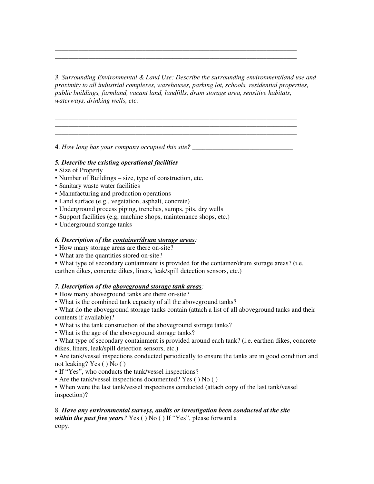*3. Surrounding Environmental & Land Use: Describe the surrounding environment/land use and proximity to all industrial complexes, warehouses, parking lot, schools, residential properties, public buildings, farmland, vacant land, landfills, drum storage area, sensitive habitats, waterways, drinking wells, etc:* 

**\_\_\_\_\_\_\_\_\_\_\_\_\_\_\_\_\_\_\_\_\_\_\_\_\_\_\_\_\_\_\_\_\_\_\_\_\_\_\_\_\_\_\_\_\_\_\_\_\_\_\_\_\_\_\_\_\_\_\_\_\_\_\_\_\_\_\_\_\_\_\_\_ \_\_\_\_\_\_\_\_\_\_\_\_\_\_\_\_\_\_\_\_\_\_\_\_\_\_\_\_\_\_\_\_\_\_\_\_\_\_\_\_\_\_\_\_\_\_\_\_\_\_\_\_\_\_\_\_\_\_\_\_\_\_\_\_\_\_\_\_\_\_\_\_** 

**\_\_\_\_\_\_\_\_\_\_\_\_\_\_\_\_\_\_\_\_\_\_\_\_\_\_\_\_\_\_\_\_\_\_\_\_\_\_\_\_\_\_\_\_\_\_\_\_\_\_\_\_\_\_\_\_\_\_\_\_\_\_\_\_\_\_\_\_\_\_\_\_ \_\_\_\_\_\_\_\_\_\_\_\_\_\_\_\_\_\_\_\_\_\_\_\_\_\_\_\_\_\_\_\_\_\_\_\_\_\_\_\_\_\_\_\_\_\_\_\_\_\_\_\_\_\_\_\_\_\_\_\_\_\_\_\_\_\_\_\_\_\_\_\_ \_\_\_\_\_\_\_\_\_\_\_\_\_\_\_\_\_\_\_\_\_\_\_\_\_\_\_\_\_\_\_\_\_\_\_\_\_\_\_\_\_\_\_\_\_\_\_\_\_\_\_\_\_\_\_\_\_\_\_\_\_\_\_\_\_\_\_\_\_\_\_\_** 

**4**. How long has your company occupied this site?

## *5. Describe the existing operational facilities*

- Size of Property
- Number of Buildings size, type of construction, etc.
- Sanitary waste water facilities
- Manufacturing and production operations
- Land surface (e.g., vegetation, asphalt, concrete)
- Underground process piping, trenches, sumps, pits, dry wells
- Support facilities (e.g, machine shops, maintenance shops, etc.)
- Underground storage tanks

#### *6. Description of the container/drum storage areas:*

- How many storage areas are there on-site?
- What are the quantities stored on-site?
- What type of secondary containment is provided for the container/drum storage areas? (i.e.

earthen dikes, concrete dikes, liners, leak/spill detection sensors, etc.)

## *7. Description of the aboveground storage tank areas:*

- How many aboveground tanks are there on-site?
- What is the combined tank capacity of all the aboveground tanks?

• What do the aboveground storage tanks contain (attach a list of all aboveground tanks and their contents if available)?

- What is the tank construction of the aboveground storage tanks?
- What is the age of the aboveground storage tanks?

• What type of secondary containment is provided around each tank? (i.e. earthen dikes, concrete dikes, liners, leak/spill detection sensors, etc.)

• Are tank/vessel inspections conducted periodically to ensure the tanks are in good condition and not leaking? Yes ( ) No ( )

- If "Yes", who conducts the tank/vessel inspections?
- Are the tank/vessel inspections documented? Yes ( ) No ( )

• When were the last tank/vessel inspections conducted (attach copy of the last tank/vessel inspection)?

## 8. *Have any environmental surveys, audits or investigation been conducted at the site within the past five years?* Yes ( ) No ( ) If "Yes", please forward a copy.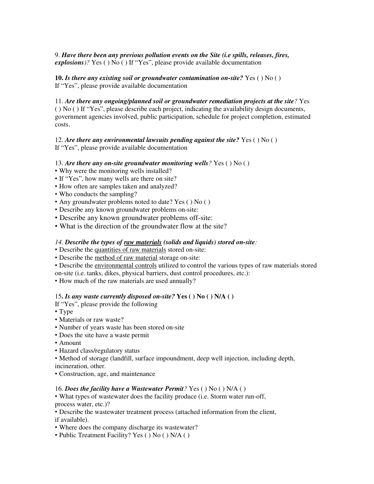9. *Have there been any previous pollution events on the Site (i.e spills, releases, fires, explosions)?* Yes ( ) No ( ) If "Yes", please provide available documentation

**10.** *Is there any existing soil or groundwater contamination on-site?* Yes ( ) No ( ) If "Yes", please provide available documentation

11. *Are there any ongoing/planned soil or groundwater remediation projects at the site?* Yes ( ) No ( ) If "Yes", please describe each project, indicating the availability design documents, government agencies involved, public participation, schedule for project completion, estimated costs.

12. *Are there any environmental lawsuits pending against the site?* Yes ( ) No ( ) If "Yes", please provide available documentation

### 13. *Are there any on-site groundwater monitoring wells?* Yes ( ) No ( )

• Why were the monitoring wells installed?

- If "Yes", how many wells are there on site?
- How often are samples taken and analyzed?
- Who conducts the sampling?
- Any groundwater problems noted to date? Yes () No ()
- Describe any known groundwater problems on-site:
- Describe any known groundwater problems off-site:
- What is the direction of the groundwater flow at the site?

#### *14. Describe the types of raw materials (solids and liquids) stored on-site:*

- Describe the quantities of raw materials stored on-site:
- Describe the method of raw material storage on-site:
- Describe the environmental controls utilized to control the various types of raw materials stored

on-site (i.e. tanks, dikes, physical barriers, dust control procedures, etc.):

• How much of the raw materials are used annually?

#### 15**.** *Is any waste currently disposed on-site?* **Yes ( ) No ( ) N/A ( )**

If "Yes", please provide the following

- Type
- Materials or raw waste?
- Number of years waste has been stored on-site
- Does the site have a waste permit
- Amount
- Hazard class/regulatory status

• Method of storage (landfill, surface impoundment, deep well injection, including depth, incineration, other.

• Construction, age, and maintenance

#### 16. *Does the facility have a Wastewater Permit?* Yes ( ) No ( ) N/A ( )

• What types of wastewater does the facility produce (i.e. Storm water run-off, process water, etc.)?

• Describe the wastewater treatment process (attached information from the client, if available).

• Where does the company discharge its wastewater?

• Public Treatment Facility? Yes ( ) No ( ) N/A ( )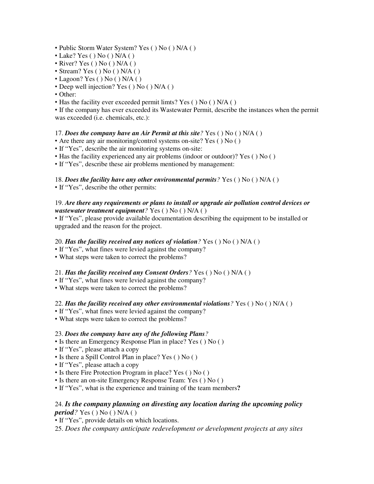- Public Storm Water System? Yes () No () N/A ()
- Lake? Yes ( ) No ( ) N/A ( )
- River? Yes ( ) No ( ) N/A ( )
- Stream? Yes ( ) No ( ) N/A ( )
- Lagoon? Yes () No () N/A ()
- Deep well injection? Yes ( ) No ( ) N/A ( )
- Other:
- Has the facility ever exceeded permit limts? Yes ( $\setminus$  No ( $\setminus$  N/A ( $\setminus$ )

• If the company has ever exceeded its Wastewater Permit, describe the instances when the permit was exceeded (i.e. chemicals, etc.):

# 17. *Does the company have an Air Permit at this site?* Yes ( ) No ( ) N/A ( )

- Are there any air monitoring/control systems on-site? Yes ( ) No ( )
- If "Yes", describe the air monitoring systems on-site:
- Has the facility experienced any air problems (indoor or outdoor)? Yes ( ) No ( )
- If "Yes", describe these air problems mentioned by management:

# 18. *Does the facility have any other environmental permits?* Yes ( ) No ( ) N/A ( )

• If "Yes", describe the other permits:

## 19. *Are there any requirements or plans to install or upgrade air pollution control devices or wastewater treatment equipment?* Yes ( ) No ( ) N/A ( )

• If "Yes", please provide available documentation describing the equipment to be installed or upgraded and the reason for the project.

# 20. *Has the facility received any notices of violation?* Yes ( ) No ( ) N/A ( )

- If "Yes", what fines were levied against the company?
- What steps were taken to correct the problems?

# 21. *Has the facility received any Consent Orders?* Yes ( ) No ( ) N/A ( )

- If "Yes", what fines were levied against the company?
- What steps were taken to correct the problems?

## 22. *Has the facility received any other environmental violations?* Yes ( ) No ( ) N/A ( )

- If "Yes", what fines were levied against the company?
- What steps were taken to correct the problems?

## 23. *Does the company have any of the following Plans?*

- Is there an Emergency Response Plan in place? Yes ( ) No ( )
- If "Yes", please attach a copy
- Is there a Spill Control Plan in place? Yes ( ) No ( )
- If "Yes", please attach a copy
- Is there Fire Protection Program in place? Yes ( ) No ( )
- Is there an on-site Emergency Response Team: Yes ( ) No ( )
- If "Yes", what is the experience and training of the team members**?**

# 24. *Is the company planning on divesting any location during the upcoming policy period?* Yes ( ) No ( ) N/A ( )

- If "Yes", provide details on which locations.
- 25. *Does the company anticipate redevelopment or development projects at any sites*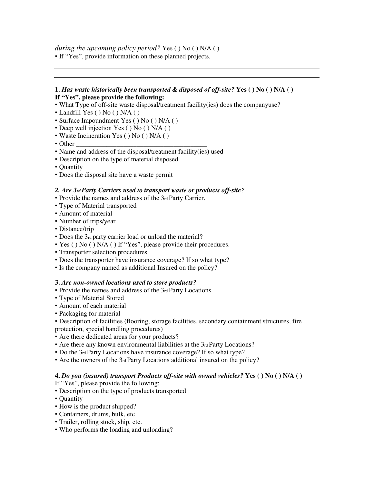*during the upcoming policy period?* Yes ( ) No ( ) N/A ( )

• If "Yes", provide information on these planned projects.

# **1.** *Has waste historically been transported & disposed of off-site?* **Yes ( ) No ( ) N/A ( ) If "Yes", please provide the following:**

- What Type of off-site waste disposal/treatment facility(ies) does the companyuse?
- Landfill Yes () No () N/A ()
- Surface Impoundment Yes () No () N/A ()
- Deep well injection Yes ( ) No ( ) N/A ( )
- Waste Incineration Yes () No () N/A ()
- Other
- Name and address of the disposal/treatment facility(ies) used
- Description on the type of material disposed
- Quantity
- Does the disposal site have a waste permit

# *2. Are 3rd Party Carriers used to transport waste or products off-site?*

- Provide the names and address of the 3rd Party Carrier.
- Type of Material transported
- Amount of material
- Number of trips/year
- Distance/trip
- Does the 3rd party carrier load or unload the material?
- Yes () No () N/A () If "Yes", please provide their procedures.
- Transporter selection procedures
- Does the transporter have insurance coverage? If so what type?
- Is the company named as additional Insured on the policy?

# **3.** *Are non-owned locations used to store products?*

- Provide the names and address of the 3rd Party Locations
- Type of Material Stored
- Amount of each material
- Packaging for material
- Description of facilities (flooring, storage facilities, secondary containment structures, fire protection, special handling procedures)
- Are there dedicated areas for your products?
- Are there any known environmental liabilities at the 3rd Party Locations?
- Do the 3rd Party Locations have insurance coverage? If so what type?
- Are the owners of the 3rd Party Locations additional insured on the policy?

## **4.** *Do you (insured) transport Products off-site with owned vehicles?* **Yes ( ) No ( ) N/A ( )**

If "Yes", please provide the following:

- Description on the type of products transported
- Quantity
- How is the product shipped?
- Containers, drums, bulk, etc
- Trailer, rolling stock, ship, etc.
- Who performs the loading and unloading?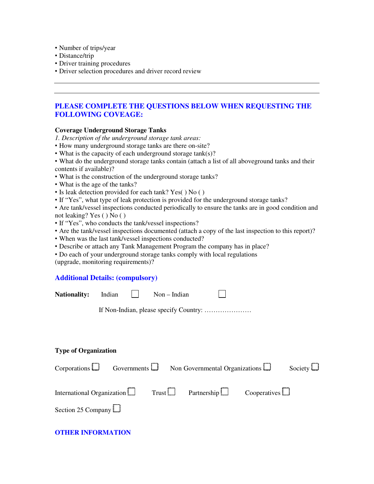- Number of trips/year
- Distance/trip
- Driver training procedures
- Driver selection procedures and driver record review

# **PLEASE COMPLETE THE QUESTIONS BELOW WHEN REQUESTING THE FOLLOWING COVEAGE:**

### **Coverage Underground Storage Tanks**

*1. Description of the underground storage tank areas:* 

- How many underground storage tanks are there on-site?
- What is the capacity of each underground storage tank(s)?
- What do the underground storage tanks contain (attach a list of all aboveground tanks and their contents if available)?
- What is the construction of the underground storage tanks?
- What is the age of the tanks?
- Is leak detection provided for each tank? Yes( ) No ( )
- If "Yes", what type of leak protection is provided for the underground storage tanks?
- Are tank/vessel inspections conducted periodically to ensure the tanks are in good condition and not leaking? Yes ( ) No ( )
- If "Yes", who conducts the tank/vessel inspections?
- Are the tank/vessel inspections documented (attach a copy of the last inspection to this report)?

- When was the last tank/vessel inspections conducted?
- Describe or attach any Tank Management Program the company has in place?
- Do each of your underground storage tanks comply with local regulations (upgrade, monitoring requirements)?

# **Additional Details: (compulsory)**

| Additional Details: (compulsory) |  |  |
|----------------------------------|--|--|
|                                  |  |  |

| <b>Nationality:</b>         | Indian |                    | $Non-Indian$ |                                       |                     |                |
|-----------------------------|--------|--------------------|--------------|---------------------------------------|---------------------|----------------|
|                             |        |                    |              |                                       |                     |                |
|                             |        |                    |              |                                       |                     |                |
|                             |        |                    |              |                                       |                     |                |
| <b>Type of Organization</b> |        |                    |              |                                       |                     |                |
| Corporations $\Box$         |        | Governments $\Box$ |              | Non Governmental Organizations $\Box$ |                     | Society $\Box$ |
| International Organization  |        |                    | Trust        | Partnership $\Box$                    | Cooperatives $\Box$ |                |
| Section 25 Company          |        |                    |              |                                       |                     |                |

# **OTHER INFORMATION**